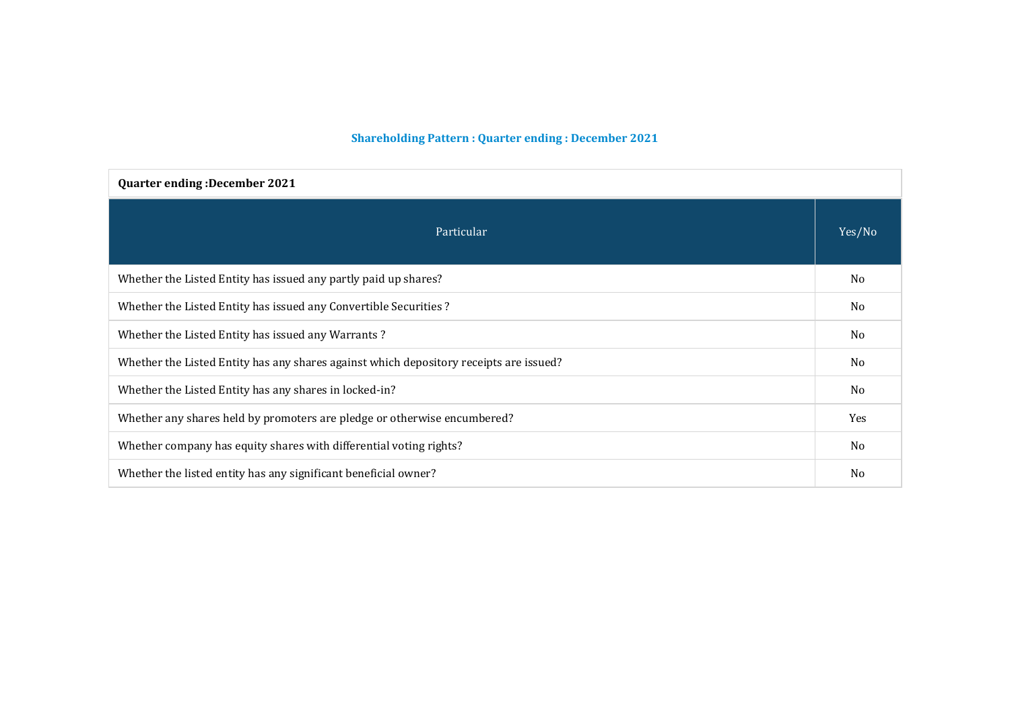# **Shareholding Pattern : Quarter ending : December 2021**

| <b>Quarter ending: December 2021</b>                                                   |                |  |  |  |  |  |
|----------------------------------------------------------------------------------------|----------------|--|--|--|--|--|
| Particular                                                                             | Yes/No         |  |  |  |  |  |
| Whether the Listed Entity has issued any partly paid up shares?                        | N <sub>0</sub> |  |  |  |  |  |
| Whether the Listed Entity has issued any Convertible Securities ?                      |                |  |  |  |  |  |
| Whether the Listed Entity has issued any Warrants?                                     |                |  |  |  |  |  |
| Whether the Listed Entity has any shares against which depository receipts are issued? |                |  |  |  |  |  |
| Whether the Listed Entity has any shares in locked-in?                                 |                |  |  |  |  |  |
| Whether any shares held by promoters are pledge or otherwise encumbered?               |                |  |  |  |  |  |
| Whether company has equity shares with differential voting rights?                     |                |  |  |  |  |  |
| Whether the listed entity has any significant beneficial owner?                        | N <sub>0</sub> |  |  |  |  |  |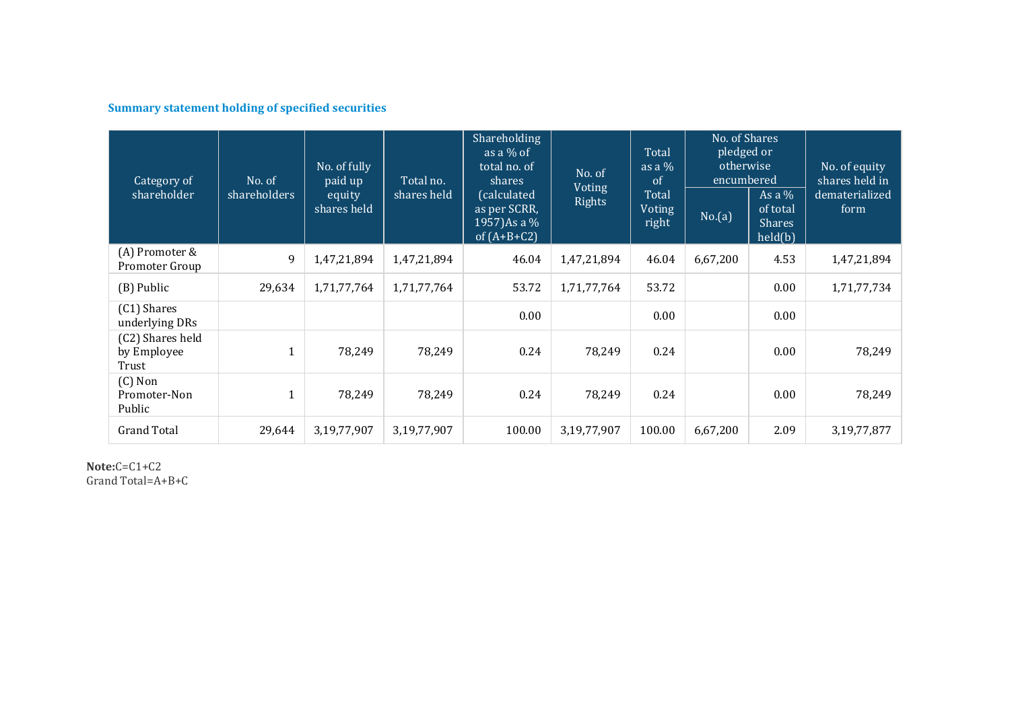# **Summary statement holding of specified securities**

| Category of<br>shareholder               | No. of<br>shareholders | No. of fully<br>paid up<br>equity<br>shares held | Total no.<br>shares held | Shareholding<br>as a $%$ of<br>total no. of<br>shares<br>(calculated<br>as per SCRR,<br>1957) As a %<br>of $(A+B+C2)$ | No. of<br>Voting<br>Rights | Total<br>as a $%$<br>of<br>Total<br>Voting<br>right | No. of Shares<br>pledged or<br>otherwise<br>encumbered<br>No.(a) | As a $%$<br>of total<br><b>Shares</b><br>held(b) | No. of equity<br>shares held in<br>dematerialized<br>form |
|------------------------------------------|------------------------|--------------------------------------------------|--------------------------|-----------------------------------------------------------------------------------------------------------------------|----------------------------|-----------------------------------------------------|------------------------------------------------------------------|--------------------------------------------------|-----------------------------------------------------------|
| (A) Promoter &<br>Promoter Group         | 9                      | 1,47,21,894                                      | 1,47,21,894              | 46.04                                                                                                                 | 1,47,21,894                | 46.04                                               | 6,67,200                                                         | 4.53                                             | 1,47,21,894                                               |
| (B) Public                               | 29,634                 | 1,71,77,764                                      | 1,71,77,764              | 53.72                                                                                                                 | 1,71,77,764                | 53.72                                               |                                                                  | 0.00                                             | 1,71,77,734                                               |
| (C1) Shares<br>underlying DRs            |                        |                                                  |                          | 0.00                                                                                                                  |                            | 0.00                                                |                                                                  | 0.00                                             |                                                           |
| (C2) Shares held<br>by Employee<br>Trust | $\mathbf{1}$           | 78,249                                           | 78,249                   | 0.24                                                                                                                  | 78,249                     | 0.24                                                |                                                                  | 0.00                                             | 78,249                                                    |
| $(C)$ Non<br>Promoter-Non<br>Public      | $\mathbf{1}$           | 78,249                                           | 78,249                   | 0.24                                                                                                                  | 78,249                     | 0.24                                                |                                                                  | 0.00                                             | 78,249                                                    |
| <b>Grand Total</b>                       | 29,644                 | 3,19,77,907                                      | 3,19,77,907              | 100.00                                                                                                                | 3,19,77,907                | 100.00                                              | 6,67,200                                                         | 2.09                                             | 3,19,77,877                                               |

**Note:**C=C1+C2 Grand Total=A+B+C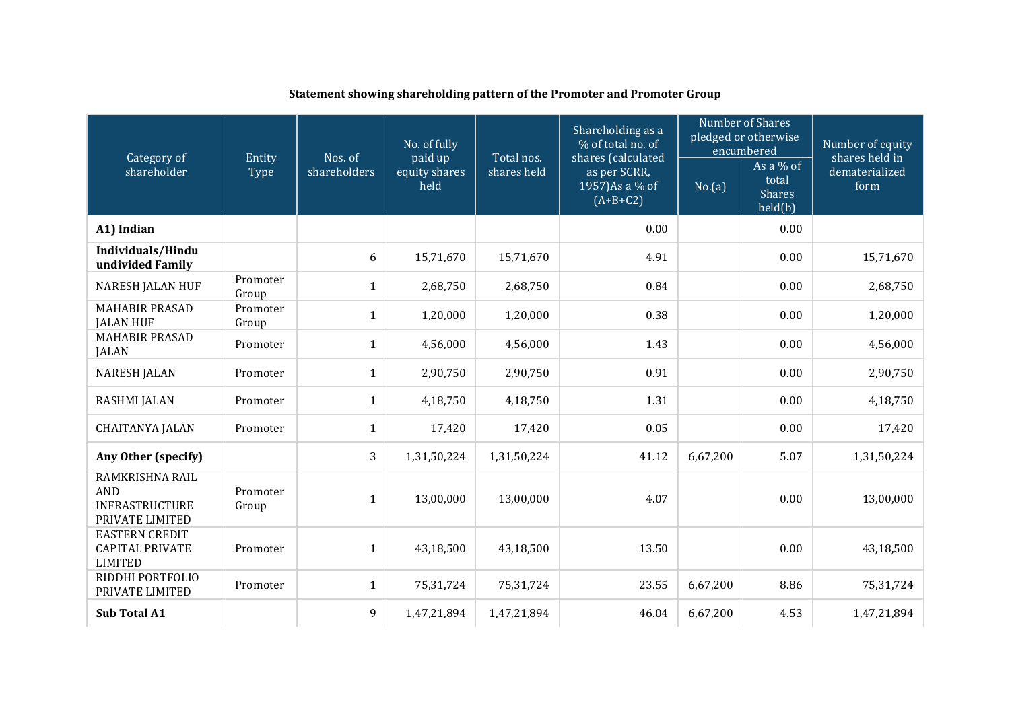|                                                                           |                   |                         | No. of fully                     |                           | Shareholding as a<br>% of total no. of                              |          | Number of Shares<br>pledged or otherwise<br>encumbered | Number of equity<br>shares held in<br>dematerialized<br>form |
|---------------------------------------------------------------------------|-------------------|-------------------------|----------------------------------|---------------------------|---------------------------------------------------------------------|----------|--------------------------------------------------------|--------------------------------------------------------------|
| Category of<br>shareholder                                                | Entity<br>Type    | Nos. of<br>shareholders | paid up<br>equity shares<br>held | Total nos.<br>shares held | shares (calculated<br>as per SCRR,<br>1957) As a % of<br>$(A+B+C2)$ | No.(a)   | As a $%$ of<br>total<br><b>Shares</b><br>held(b)       |                                                              |
| A1) Indian                                                                |                   |                         |                                  |                           | 0.00                                                                |          | 0.00                                                   |                                                              |
| Individuals/Hindu<br>undivided Family                                     |                   | 6                       | 15,71,670                        | 15,71,670                 | 4.91                                                                |          | 0.00                                                   | 15,71,670                                                    |
| <b>NARESH JALAN HUF</b>                                                   | Promoter<br>Group | $\mathbf{1}$            | 2,68,750                         | 2,68,750                  | 0.84                                                                |          | 0.00                                                   | 2,68,750                                                     |
| <b>MAHABIR PRASAD</b><br><b>JALAN HUF</b>                                 | Promoter<br>Group | $\mathbf{1}$            | 1,20,000                         | 1,20,000                  | 0.38                                                                |          | 0.00                                                   | 1,20,000                                                     |
| <b>MAHABIR PRASAD</b><br><b>JALAN</b>                                     | Promoter          | $\mathbf{1}$            | 4,56,000                         | 4,56,000                  | 1.43                                                                |          | 0.00                                                   | 4,56,000                                                     |
| <b>NARESH JALAN</b>                                                       | Promoter          | $\mathbf{1}$            | 2,90,750                         | 2,90,750                  | 0.91                                                                |          | 0.00                                                   | 2,90,750                                                     |
| RASHMI JALAN                                                              | Promoter          | $\mathbf{1}$            | 4,18,750                         | 4,18,750                  | 1.31                                                                |          | 0.00                                                   | 4,18,750                                                     |
| <b>CHAITANYA JALAN</b>                                                    | Promoter          | $\mathbf{1}$            | 17,420                           | 17,420                    | 0.05                                                                |          | 0.00                                                   | 17,420                                                       |
| Any Other (specify)                                                       |                   | 3                       | 1,31,50,224                      | 1,31,50,224               | 41.12                                                               | 6,67,200 | 5.07                                                   | 1,31,50,224                                                  |
| RAMKRISHNA RAIL<br><b>AND</b><br><b>INFRASTRUCTURE</b><br>PRIVATE LIMITED | Promoter<br>Group | $\mathbf{1}$            | 13,00,000                        | 13,00,000                 | 4.07                                                                |          | 0.00                                                   | 13,00,000                                                    |
| <b>EASTERN CREDIT</b><br><b>CAPITAL PRIVATE</b><br><b>LIMITED</b>         | Promoter          | $\mathbf{1}$            | 43,18,500                        | 43,18,500                 | 13.50                                                               |          | 0.00                                                   | 43,18,500                                                    |
| RIDDHI PORTFOLIO<br>PRIVATE LIMITED                                       | Promoter          | $\mathbf{1}$            | 75,31,724                        | 75,31,724                 | 23.55                                                               | 6,67,200 | 8.86                                                   | 75,31,724                                                    |
| <b>Sub Total A1</b>                                                       |                   | 9                       | 1,47,21,894                      | 1,47,21,894               | 46.04                                                               | 6,67,200 | 4.53                                                   | 1,47,21,894                                                  |

# **Statement showing shareholding pattern of the Promoter and Promoter Group**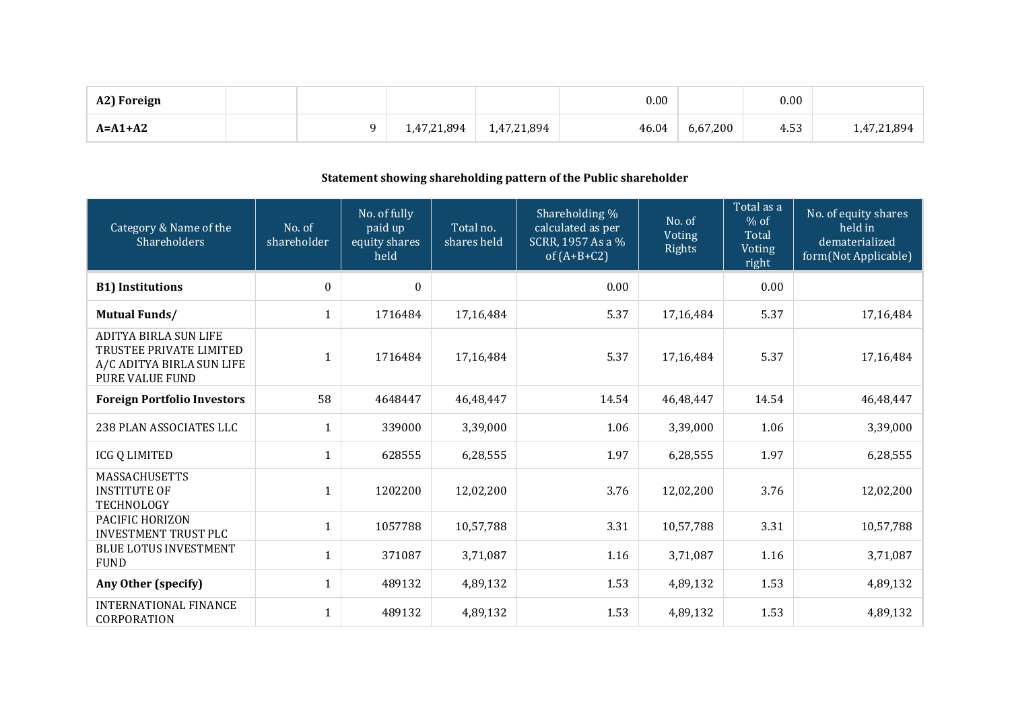| A2) Foreign   |             | 0.00                 |          | 0.00 |             |
|---------------|-------------|----------------------|----------|------|-------------|
| $A = A1 + A2$ | 1,47,21,894 | 1,47,21,894<br>46.04 | 6,67,200 | 4.53 | 1,47,21,894 |

# **Statement showing shareholding pattern of the Public shareholder**

| Category & Name of the<br>Shareholders                                                                         | No. of<br>shareholder | No. of fully<br>paid up<br>equity shares<br>held | Total no.<br>shares held | Shareholding %<br>calculated as per<br>SCRR, 1957 As a %<br>of $(A+B+C2)$ | No. of<br>Voting<br>Rights | Total as a<br>$%$ of<br>Total<br>Voting<br>right | No. of equity shares<br>held in<br>dematerialized<br>form(Not Applicable) |
|----------------------------------------------------------------------------------------------------------------|-----------------------|--------------------------------------------------|--------------------------|---------------------------------------------------------------------------|----------------------------|--------------------------------------------------|---------------------------------------------------------------------------|
| <b>B1) Institutions</b>                                                                                        | $\mathbf{0}$          | $\mathbf{0}$                                     |                          | 0.00                                                                      |                            | 0.00                                             |                                                                           |
| <b>Mutual Funds/</b>                                                                                           | $\mathbf{1}$          | 1716484                                          | 17,16,484                | 5.37                                                                      | 17,16,484                  | 5.37                                             | 17,16,484                                                                 |
| <b>ADITYA BIRLA SUN LIFE</b><br>TRUSTEE PRIVATE LIMITED<br>A/C ADITYA BIRLA SUN LIFE<br><b>PURE VALUE FUND</b> | $\mathbf{1}$          | 1716484                                          | 17,16,484                | 5.37                                                                      | 17,16,484                  | 5.37                                             | 17,16,484                                                                 |
| <b>Foreign Portfolio Investors</b>                                                                             | 58                    | 4648447                                          | 46,48,447                | 14.54                                                                     | 46,48,447                  | 14.54                                            | 46,48,447                                                                 |
| 238 PLAN ASSOCIATES LLC                                                                                        | $\mathbf{1}$          | 339000                                           | 3,39,000                 | 1.06                                                                      | 3,39,000                   | 1.06                                             | 3,39,000                                                                  |
| <b>ICG Q LIMITED</b>                                                                                           | 1                     | 628555                                           | 6,28,555                 | 1.97                                                                      | 6,28,555                   | 1.97                                             | 6,28,555                                                                  |
| <b>MASSACHUSETTS</b><br><b>INSTITUTE OF</b><br>TECHNOLOGY                                                      | $\mathbf{1}$          | 1202200                                          | 12,02,200                | 3.76                                                                      | 12,02,200                  | 3.76                                             | 12,02,200                                                                 |
| PACIFIC HORIZON<br><b>INVESTMENT TRUST PLC</b>                                                                 | 1                     | 1057788                                          | 10,57,788                | 3.31                                                                      | 10,57,788                  | 3.31                                             | 10,57,788                                                                 |
| <b>BLUE LOTUS INVESTMENT</b><br><b>FUND</b>                                                                    | $\mathbf{1}$          | 371087                                           | 3,71,087                 | 1.16                                                                      | 3,71,087                   | 1.16                                             | 3,71,087                                                                  |
| Any Other (specify)                                                                                            | 1                     | 489132                                           | 4,89,132                 | 1.53                                                                      | 4,89,132                   | 1.53                                             | 4,89,132                                                                  |
| <b>INTERNATIONAL FINANCE</b><br>CORPORATION                                                                    | $\mathbf{1}$          | 489132                                           | 4,89,132                 | 1.53                                                                      | 4,89,132                   | 1.53                                             | 4,89,132                                                                  |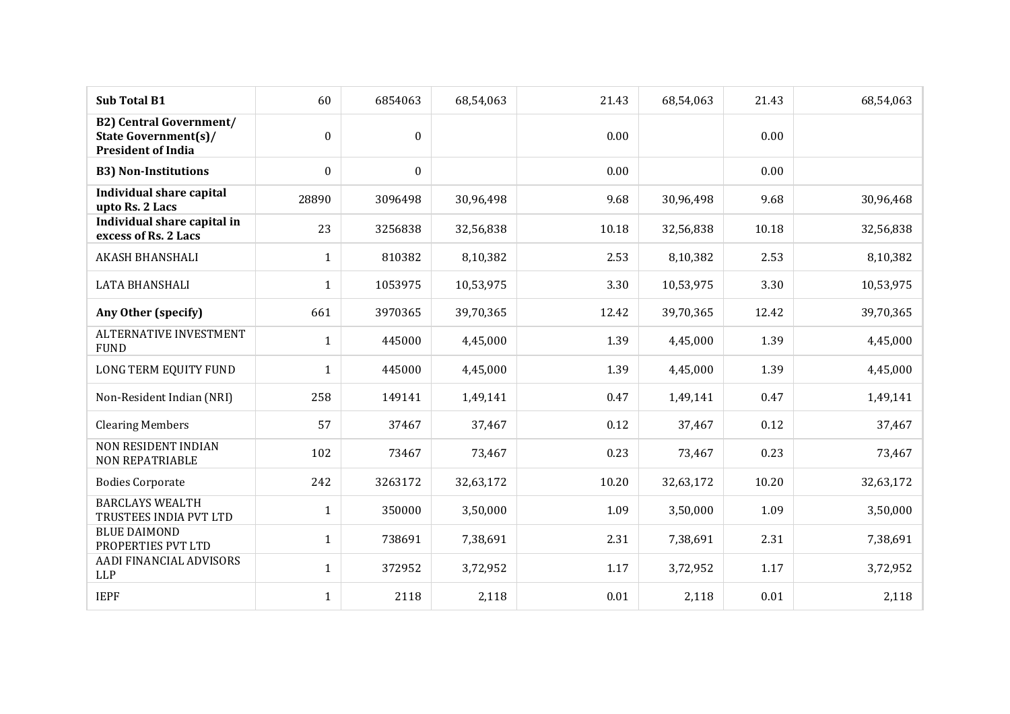| <b>Sub Total B1</b>                                                                        | 60               | 6854063          | 68,54,063 | 21.43 | 68,54,063 | 21.43 | 68,54,063 |
|--------------------------------------------------------------------------------------------|------------------|------------------|-----------|-------|-----------|-------|-----------|
| <b>B2) Central Government/</b><br><b>State Government(s)/</b><br><b>President of India</b> | $\boldsymbol{0}$ | $\mathbf{0}$     |           | 0.00  |           | 0.00  |           |
| <b>B3) Non-Institutions</b>                                                                | $\boldsymbol{0}$ | $\boldsymbol{0}$ |           | 0.00  |           | 0.00  |           |
| <b>Individual share capital</b><br>upto Rs. 2 Lacs                                         | 28890            | 3096498          | 30,96,498 | 9.68  | 30,96,498 | 9.68  | 30,96,468 |
| Individual share capital in<br>excess of Rs. 2 Lacs                                        | 23               | 3256838          | 32,56,838 | 10.18 | 32,56,838 | 10.18 | 32,56,838 |
| <b>AKASH BHANSHALI</b>                                                                     | $\mathbf{1}$     | 810382           | 8,10,382  | 2.53  | 8,10,382  | 2.53  | 8,10,382  |
| LATA BHANSHALI                                                                             | $\mathbf{1}$     | 1053975          | 10,53,975 | 3.30  | 10,53,975 | 3.30  | 10,53,975 |
| Any Other (specify)                                                                        | 661              | 3970365          | 39,70,365 | 12.42 | 39,70,365 | 12.42 | 39,70,365 |
| <b>ALTERNATIVE INVESTMENT</b><br><b>FUND</b>                                               | $\mathbf{1}$     | 445000           | 4,45,000  | 1.39  | 4,45,000  | 1.39  | 4,45,000  |
| LONG TERM EQUITY FUND                                                                      | $\mathbf{1}$     | 445000           | 4,45,000  | 1.39  | 4,45,000  | 1.39  | 4,45,000  |
| Non-Resident Indian (NRI)                                                                  | 258              | 149141           | 1,49,141  | 0.47  | 1,49,141  | 0.47  | 1,49,141  |
| <b>Clearing Members</b>                                                                    | 57               | 37467            | 37,467    | 0.12  | 37,467    | 0.12  | 37,467    |
| <b>NON RESIDENT INDIAN</b><br><b>NON REPATRIABLE</b>                                       | 102              | 73467            | 73,467    | 0.23  | 73,467    | 0.23  | 73,467    |
| <b>Bodies Corporate</b>                                                                    | 242              | 3263172          | 32,63,172 | 10.20 | 32,63,172 | 10.20 | 32,63,172 |
| <b>BARCLAYS WEALTH</b><br>TRUSTEES INDIA PVT LTD                                           | $\mathbf{1}$     | 350000           | 3,50,000  | 1.09  | 3,50,000  | 1.09  | 3,50,000  |
| <b>BLUE DAIMOND</b><br>PROPERTIES PVT LTD                                                  | $\mathbf{1}$     | 738691           | 7,38,691  | 2.31  | 7,38,691  | 2.31  | 7,38,691  |
| AADI FINANCIAL ADVISORS<br><b>LLP</b>                                                      | $\mathbf{1}$     | 372952           | 3,72,952  | 1.17  | 3,72,952  | 1.17  | 3,72,952  |
| <b>IEPF</b>                                                                                | $\mathbf{1}$     | 2118             | 2,118     | 0.01  | 2,118     | 0.01  | 2,118     |
|                                                                                            |                  |                  |           |       |           |       |           |